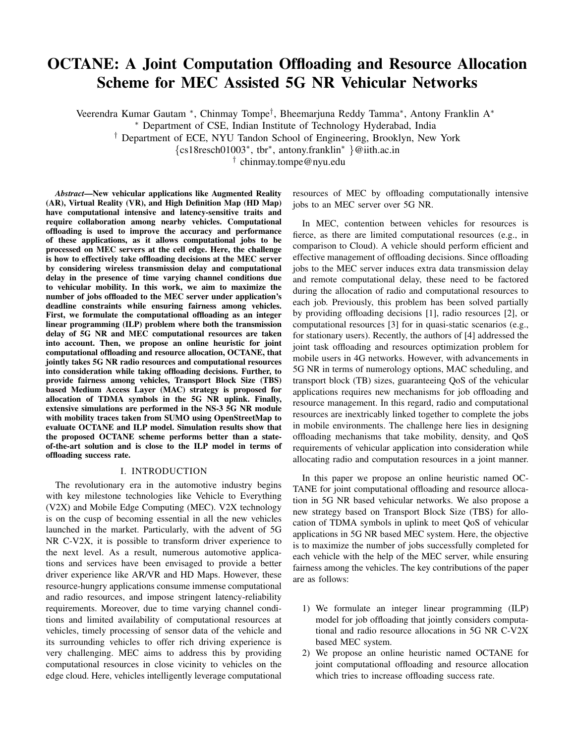# OCTANE: A Joint Computation Offloading and Resource Allocation Scheme for MEC Assisted 5G NR Vehicular Networks

Veerendra Kumar Gautam <sup>∗</sup> , Chinmay Tompe† , Bheemarjuna Reddy Tamma<sup>∗</sup> , Antony Franklin A<sup>∗</sup>

<sup>∗</sup> Department of CSE, Indian Institute of Technology Hyderabad, India

† Department of ECE, NYU Tandon School of Engineering, Brooklyn, New York

{cs18resch01003<sup>∗</sup> , tbr<sup>∗</sup> , antony.franklin<sup>∗</sup> }@iith.ac.in

† chinmay.tompe@nyu.edu

*Abstract*—New vehicular applications like Augmented Reality (AR), Virtual Reality (VR), and High Definition Map (HD Map) have computational intensive and latency-sensitive traits and require collaboration among nearby vehicles. Computational offloading is used to improve the accuracy and performance of these applications, as it allows computational jobs to be processed on MEC servers at the cell edge. Here, the challenge is how to effectively take offloading decisions at the MEC server by considering wireless transmission delay and computational delay in the presence of time varying channel conditions due to vehicular mobility. In this work, we aim to maximize the number of jobs offloaded to the MEC server under application's deadline constraints while ensuring fairness among vehicles. First, we formulate the computational offloading as an integer linear programming (ILP) problem where both the transmission delay of 5G NR and MEC computational resources are taken into account. Then, we propose an online heuristic for joint computational offloading and resource allocation, OCTANE, that jointly takes 5G NR radio resources and computational resources into consideration while taking offloading decisions. Further, to provide fairness among vehicles, Transport Block Size (TBS) based Medium Access Layer (MAC) strategy is proposed for allocation of TDMA symbols in the 5G NR uplink. Finally, extensive simulations are performed in the NS-3 5G NR module with mobility traces taken from SUMO using OpenStreetMap to evaluate OCTANE and ILP model. Simulation results show that the proposed OCTANE scheme performs better than a stateof-the-art solution and is close to the ILP model in terms of offloading success rate.

#### I. INTRODUCTION

The revolutionary era in the automotive industry begins with key milestone technologies like Vehicle to Everything (V2X) and Mobile Edge Computing (MEC). V2X technology is on the cusp of becoming essential in all the new vehicles launched in the market. Particularly, with the advent of 5G NR C-V2X, it is possible to transform driver experience to the next level. As a result, numerous automotive applications and services have been envisaged to provide a better driver experience like AR/VR and HD Maps. However, these resource-hungry applications consume immense computational and radio resources, and impose stringent latency-reliability requirements. Moreover, due to time varying channel conditions and limited availability of computational resources at vehicles, timely processing of sensor data of the vehicle and its surrounding vehicles to offer rich driving experience is very challenging. MEC aims to address this by providing computational resources in close vicinity to vehicles on the edge cloud. Here, vehicles intelligently leverage computational

resources of MEC by offloading computationally intensive jobs to an MEC server over 5G NR.

In MEC, contention between vehicles for resources is fierce, as there are limited computational resources (e.g., in comparison to Cloud). A vehicle should perform efficient and effective management of offloading decisions. Since offloading jobs to the MEC server induces extra data transmission delay and remote computational delay, these need to be factored during the allocation of radio and computational resources to each job. Previously, this problem has been solved partially by providing offloading decisions [1], radio resources [2], or computational resources [3] for in quasi-static scenarios (e.g., for stationary users). Recently, the authors of [4] addressed the joint task offloading and resources optimization problem for mobile users in 4G networks. However, with advancements in 5G NR in terms of numerology options, MAC scheduling, and transport block (TB) sizes, guaranteeing QoS of the vehicular applications requires new mechanisms for job offloading and resource management. In this regard, radio and computational resources are inextricably linked together to complete the jobs in mobile environments. The challenge here lies in designing offloading mechanisms that take mobility, density, and QoS requirements of vehicular application into consideration while allocating radio and computation resources in a joint manner.

In this paper we propose an online heuristic named OC-TANE for joint computational offloading and resource allocation in 5G NR based vehicular networks. We also propose a new strategy based on Transport Block Size (TBS) for allocation of TDMA symbols in uplink to meet QoS of vehicular applications in 5G NR based MEC system. Here, the objective is to maximize the number of jobs successfully completed for each vehicle with the help of the MEC server, while ensuring fairness among the vehicles. The key contributions of the paper are as follows:

- 1) We formulate an integer linear programming (ILP) model for job offloading that jointly considers computational and radio resource allocations in 5G NR C-V2X based MEC system.
- 2) We propose an online heuristic named OCTANE for joint computational offloading and resource allocation which tries to increase offloading success rate.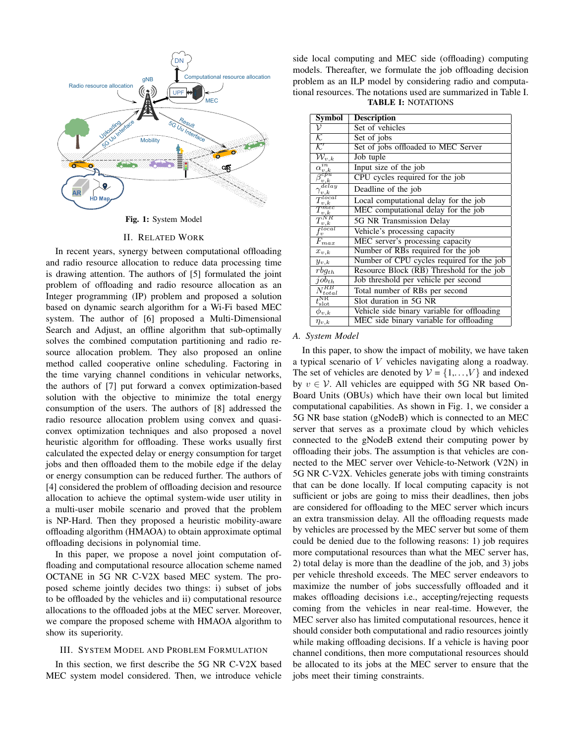

Fig. 1: System Model

#### II. RELATED WORK

In recent years, synergy between computational offloading and radio resource allocation to reduce data processing time is drawing attention. The authors of [5] formulated the joint problem of offloading and radio resource allocation as an Integer programming (IP) problem and proposed a solution based on dynamic search algorithm for a Wi-Fi based MEC system. The author of [6] proposed a Multi-Dimensional Search and Adjust, an offline algorithm that sub-optimally solves the combined computation partitioning and radio resource allocation problem. They also proposed an online method called cooperative online scheduling. Factoring in the time varying channel conditions in vehicular networks, the authors of [7] put forward a convex optimization-based solution with the objective to minimize the total energy consumption of the users. The authors of [8] addressed the radio resource allocation problem using convex and quasiconvex optimization techniques and also proposed a novel heuristic algorithm for offloading. These works usually first calculated the expected delay or energy consumption for target jobs and then offloaded them to the mobile edge if the delay or energy consumption can be reduced further. The authors of [4] considered the problem of offloading decision and resource allocation to achieve the optimal system-wide user utility in a multi-user mobile scenario and proved that the problem is NP-Hard. Then they proposed a heuristic mobility-aware offloading algorithm (HMAOA) to obtain approximate optimal offloading decisions in polynomial time.

In this paper, we propose a novel joint computation offloading and computational resource allocation scheme named OCTANE in 5G NR C-V2X based MEC system. The proposed scheme jointly decides two things: i) subset of jobs to be offloaded by the vehicles and ii) computational resource allocations to the offloaded jobs at the MEC server. Moreover, we compare the proposed scheme with HMAOA algorithm to show its superiority.

#### III. SYSTEM MODEL AND PROBLEM FORMULATION

In this section, we first describe the 5G NR C-V2X based MEC system model considered. Then, we introduce vehicle

side local computing and MEC side (offloading) computing models. Thereafter, we formulate the job offloading decision problem as an ILP model by considering radio and computational resources. The notations used are summarized in Table I. TABLE I: NOTATIONS

| Symbol                                      | <b>Description</b>                          |
|---------------------------------------------|---------------------------------------------|
| ν                                           | Set of vehicles                             |
| ĸ                                           | Set of jobs                                 |
| $\overline{\mathcal{K}'}$                   | Set of jobs offloaded to MEC Server         |
| $\overline{\mathcal{W}}_{v,k}$              | Job tuple                                   |
| $\alpha_{v,k}^{in}$                         | Input size of the job                       |
| $\bar{\beta}^{\dot{c}\dot{p}\dot{u}}_{v,k}$ | CPU cycles required for the job             |
| delay<br>$\gamma_{v,k}$                     | Deadline of the job                         |
| $\vec{\Gamma}^{local}$<br>v,k               | Local computational delay for the job       |
| $\lnot mec$                                 | MEC computational delay for the job         |
| $\frac{I_{v,k}}{T_{v,k}^{NR}}$              | 5G NR Transmission Delay                    |
| $f_v^{local}$                               | Vehicle's processing capacity               |
| $\overline{F}_{max}$                        | MEC server's processing capacity            |
| $x_{v,k}$                                   | Number of RBs required for the job          |
| $y_{v,k}$                                   | Number of CPU cycles required for the job   |
| $\overline{rbg_{th}}$                       | Resource Block (RB) Threshold for the job   |
| $job_{th}$                                  | Job threshold per vehicle per second        |
| $N_{total}^{RB}$                            | Total number of RBs per second              |
| $t_{\rm slot}^{\overline{\rm NR}}$          | Slot duration in 5G NR                      |
| $\phi_{v,k}$                                | Vehicle side binary variable for offloading |
| $\eta_{v,k}$                                | MEC side binary variable for offloading     |

#### *A. System Model*

In this paper, to show the impact of mobility, we have taken a typical scenario of V vehicles navigating along a roadway. The set of vehicles are denoted by  $V = \{1, \ldots, V\}$  and indexed by  $v \in V$ . All vehicles are equipped with 5G NR based On-Board Units (OBUs) which have their own local but limited computational capabilities. As shown in Fig. 1, we consider a 5G NR base station (gNodeB) which is connected to an MEC server that serves as a proximate cloud by which vehicles connected to the gNodeB extend their computing power by offloading their jobs. The assumption is that vehicles are connected to the MEC server over Vehicle-to-Network (V2N) in 5G NR C-V2X. Vehicles generate jobs with timing constraints that can be done locally. If local computing capacity is not sufficient or jobs are going to miss their deadlines, then jobs are considered for offloading to the MEC server which incurs an extra transmission delay. All the offloading requests made by vehicles are processed by the MEC server but some of them could be denied due to the following reasons: 1) job requires more computational resources than what the MEC server has, 2) total delay is more than the deadline of the job, and 3) jobs per vehicle threshold exceeds. The MEC server endeavors to maximize the number of jobs successfully offloaded and it makes offloading decisions i.e., accepting/rejecting requests coming from the vehicles in near real-time. However, the MEC server also has limited computational resources, hence it should consider both computational and radio resources jointly while making offloading decisions. If a vehicle is having poor channel conditions, then more computational resources should be allocated to its jobs at the MEC server to ensure that the jobs meet their timing constraints.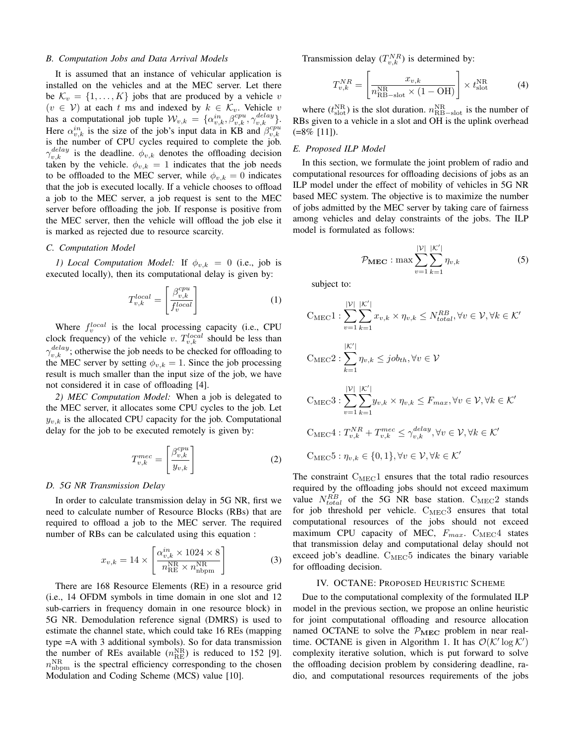#### *B. Computation Jobs and Data Arrival Models*

It is assumed that an instance of vehicular application is installed on the vehicles and at the MEC server. Let there be  $\mathcal{K}_v = \{1, \ldots, K\}$  jobs that are produced by a vehicle v  $(v \in V)$  at each t ms and indexed by  $k \in \mathcal{K}_v$ . Vehicle v has a computational job tuple  $\mathcal{W}_{v,k} = {\alpha_{v,k}^{in}, \beta_{v,k}^{cpu}, \gamma_{v,k}^{delay}}$ . Here  $\alpha_{v,k}^{in}$  is the size of the job's input data in KB and  $\beta_{v,k}^{cpu}$ is the number of CPU cycles required to complete the job.  $\gamma_{v,k}^{delay}$  is the deadline.  $\phi_{v,k}$  denotes the offloading decision taken by the vehicle.  $\phi_{v,k} = 1$  indicates that the job needs to be offloaded to the MEC server, while  $\phi_{v,k} = 0$  indicates that the job is executed locally. If a vehicle chooses to offload a job to the MEC server, a job request is sent to the MEC server before offloading the job. If response is positive from the MEC server, then the vehicle will offload the job else it is marked as rejected due to resource scarcity.

#### *C. Computation Model*

*1) Local Computation Model:* If  $\phi_{v,k} = 0$  (i.e., job is executed locally), then its computational delay is given by:

$$
T_{v,k}^{local} = \begin{bmatrix} \frac{\beta_{v,k}^{cpu}}{f_v^{local}} \end{bmatrix}
$$
 (1)

Where  $f_v^{local}$  is the local processing capacity (i.e., CPU clock frequency) of the vehicle v.  $T_{v,k}^{local}$  should be less than  $\gamma_{v,k}^{delay}$ ; otherwise the job needs to be checked for offloading to the MEC server by setting  $\phi_{v,k} = 1$ . Since the job processing result is much smaller than the input size of the job, we have not considered it in case of offloading [4].

*2) MEC Computation Model:* When a job is delegated to the MEC server, it allocates some CPU cycles to the job. Let  $y_{v,k}$  is the allocated CPU capacity for the job. Computational delay for the job to be executed remotely is given by:

$$
T_{v,k}^{mec} = \left[\frac{\beta_{v,k}^{cpu}}{y_{v,k}}\right]
$$
 (2)

#### *D. 5G NR Transmission Delay*

In order to calculate transmission delay in 5G NR, first we need to calculate number of Resource Blocks (RBs) that are required to offload a job to the MEC server. The required number of RBs can be calculated using this equation :

$$
x_{v,k} = 14 \times \left[ \frac{\alpha_{v,k}^{in} \times 1024 \times 8}{n_{\text{RE}}^{\text{NR}} \times n_{\text{nbpm}}^{\text{NR}}} \right]
$$
(3)

There are 168 Resource Elements (RE) in a resource grid (i.e., 14 OFDM symbols in time domain in one slot and 12 sub-carriers in frequency domain in one resource block) in 5G NR. Demodulation reference signal (DMRS) is used to estimate the channel state, which could take 16 REs (mapping type =A with 3 additional symbols). So for data transmission the number of REs available  $(n_{\text{RE}}^{\text{NR}})$  is reduced to 152 [9].  $n_{\text{nbpm}}^{\text{NR}}$  is the spectral efficiency corresponding to the chosen Modulation and Coding Scheme (MCS) value [10].

Transmission delay  $(T_{v,k}^{NR})$  is determined by:

$$
T_{v,k}^{NR} = \left[\frac{x_{v,k}}{n_{\text{RB-slot}}^{\text{NR}} \times (1 - \text{OH})}\right] \times t_{\text{slot}}^{\text{NR}}
$$
(4)

where  $(t_{\text{slot}}^{\text{NR}})$  is the slot duration.  $n_{\text{RB-slot}}^{\text{NR}}$  is the number of RBs given to a vehicle in a slot and OH is the uplink overhead  $(=8\%$  [11]).

## *E. Proposed ILP Model*

In this section, we formulate the joint problem of radio and computational resources for offloading decisions of jobs as an ILP model under the effect of mobility of vehicles in 5G NR based MEC system. The objective is to maximize the number of jobs admitted by the MEC server by taking care of fairness among vehicles and delay constraints of the jobs. The ILP model is formulated as follows:

$$
\mathcal{P}_{\text{MEC}} : \max \sum_{v=1}^{|\mathcal{V}|} \sum_{k=1}^{|\mathcal{K}'|} \eta_{v,k} \tag{5}
$$

subject to:

$$
C_{\text{MEC}}1: \sum_{v=1}^{|\mathcal{V}|} \sum_{k=1}^{|\mathcal{K}'|} x_{v,k} \times \eta_{v,k} \le N_{total}^{RB}, \forall v \in \mathcal{V}, \forall k \in \mathcal{K}'
$$
  
\n
$$
C_{\text{MEC}}2: \sum_{k=1}^{|\mathcal{K}'|} \eta_{v,k} \le job_{th}, \forall v \in \mathcal{V}
$$
  
\n
$$
C_{\text{MEC}}3: \sum_{v=1}^{|\mathcal{V}|} \sum_{k=1}^{|\mathcal{K}'|} y_{v,k} \times \eta_{v,k} \le F_{max}, \forall v \in \mathcal{V}, \forall k \in \mathcal{K}'
$$
  
\n
$$
C_{\text{MEC}}4: T_{v,k}^{NR} + T_{v,k}^{mec} \le \gamma_{v,k}^{delay}, \forall v \in \mathcal{V}, \forall k \in \mathcal{K}'
$$
  
\n
$$
C_{\text{MEC}}5: \eta_{v,k} \in \{0,1\}, \forall v \in \mathcal{V}, \forall k \in \mathcal{K}'
$$

The constraint  $C_{MEC}1$  ensures that the total radio resources required by the offloading jobs should not exceed maximum value  $N_{total}^{RB}$  of the 5G NR base station.  $C_{MEC}$  stands for job threshold per vehicle.  $C_{MEC}3$  ensures that total computational resources of the jobs should not exceed maximum CPU capacity of MEC,  $F_{max}$ . C<sub>MEC</sub>4 states that transmission delay and computational delay should not exceed job's deadline.  $C_{MEC}5$  indicates the binary variable for offloading decision.

#### IV. OCTANE: PROPOSED HEURISTIC SCHEME

Due to the computational complexity of the formulated ILP model in the previous section, we propose an online heuristic for joint computational offloading and resource allocation named OCTANE to solve the  $P_{MEC}$  problem in near realtime. OCTANE is given in Algorithm 1. It has  $\mathcal{O}(\mathcal{K}' \log \mathcal{K}')$ complexity iterative solution, which is put forward to solve the offloading decision problem by considering deadline, radio, and computational resources requirements of the jobs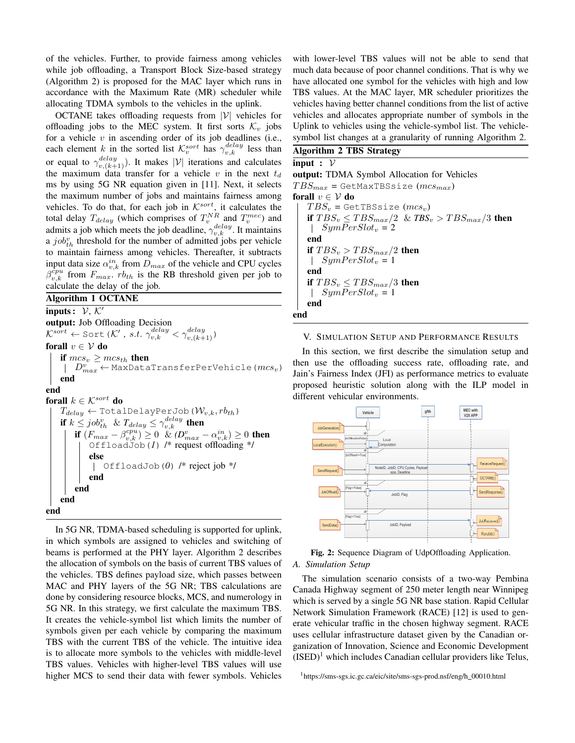of the vehicles. Further, to provide fairness among vehicles while job offloading, a Transport Block Size-based strategy (Algorithm 2) is proposed for the MAC layer which runs in accordance with the Maximum Rate (MR) scheduler while allocating TDMA symbols to the vehicles in the uplink.

OCTANE takes offloading requests from  $|V|$  vehicles for offloading jobs to the MEC system. It first sorts  $\mathcal{K}_v$  jobs for a vehicle  $v$  in ascending order of its job deadlines (i.e., each element k in the sorted list  $\mathcal{K}_v^{sort}$  has  $\gamma_{v,k}^{delay}$  less than or equal to  $\gamma_{v,(k+1)}^{delay}$ ). It makes  $|\mathcal{V}|$  iterations and calculates the maximum data transfer for a vehicle v in the next  $t_d$ ms by using 5G NR equation given in [11]. Next, it selects the maximum number of jobs and maintains fairness among vehicles. To do that, for each job in  $K^{sort}$ , it calculates the total delay  $T_{delay}$  (which comprises of  $T_v^{NR}$  and  $T_v^{mec}$ ) and admits a job which meets the job deadline,  $\gamma_{v,k}^{delay}$ . It maintains a  $job_{th}^{v}$  threshold for the number of admitted jobs per vehicle to maintain fairness among vehicles. Thereafter, it subtracts input data size  $\alpha_{v,k}^{in}$  from  $D_{max}$  of the vehicle and CPU cycles  $\beta_{v,k}^{\tilde{c}pu}$  from  $F_{max}$ .  $rb_{th}$  is the RB threshold given per job to calculate the delay of the job.

### Algorithm 1 OCTANE

inputs:  $V, K'$ output: Job Offloading Decision  $\mathcal{K}^{sort} \leftarrow \text{Sort } (\mathcal{K}'$ , *s.t.*  $\gamma_{v,k}^{delay} < \gamma_{v,(k+1)}^{delay}$ forall  $v \in V$  do if  $mcs_v \geq mcs_{th}$  then  $D_{max}^{v}$  ← MaxDataTransferPerVehicle( $mcs_v$ ) end end forall  $k \in \mathcal{K}^{sort}$  do  $T_{delay} \leftarrow \text{TotalDelayPerJob}(\mathcal{W}_{v,k}, rb_{th})$ if  $k \leq job_{th}^v$  &  $T_{delay} \leq \gamma_{v,k}^{delay}$  then if  $(F_{max} - \beta_{v,k}^{cpu}) \ge 0$  &  $(D_{max}^v - \alpha_{v,k}^{in}) \ge 0$  then OffloadJob(*1*) /\* request offloading \*/ else OffloadJob(*0*) /\* reject job \*/ end end end end

In 5G NR, TDMA-based scheduling is supported for uplink, in which symbols are assigned to vehicles and switching of beams is performed at the PHY layer. Algorithm 2 describes the allocation of symbols on the basis of current TBS values of the vehicles. TBS defines payload size, which passes between MAC and PHY layers of the 5G NR; TBS calculations are done by considering resource blocks, MCS, and numerology in 5G NR. In this strategy, we first calculate the maximum TBS. It creates the vehicle-symbol list which limits the number of symbols given per each vehicle by comparing the maximum TBS with the current TBS of the vehicle. The intuitive idea is to allocate more symbols to the vehicles with middle-level TBS values. Vehicles with higher-level TBS values will use higher MCS to send their data with fewer symbols. Vehicles

with lower-level TBS values will not be able to send that much data because of poor channel conditions. That is why we have allocated one symbol for the vehicles with high and low TBS values. At the MAC layer, MR scheduler prioritizes the vehicles having better channel conditions from the list of active vehicles and allocates appropriate number of symbols in the Uplink to vehicles using the vehicle-symbol list. The vehiclesymbol list changes at a granularity of running Algorithm 2.

## Algorithm 2 TBS Strategy

# input :  $V$ output: TDMA Symbol Allocation for Vehicles  $TBS_{max}$  = GetMaxTBSsize ( $mcs_{max}$ ) forall  $v \in V$  do  $TBS_v = \text{GetTBSsize}(mcs_v)$ if  $TBS_v \leq TBS_{max}/2$  &  $TBS_v > TBS_{max}/3$  then  $SymPerSlot_v = 2$ end if  $TBS_v > TBS_{max}/2$  then  $\mid$  SymPerSlot<sub>v</sub> = 1 end if  $TBS_v \leq TBS_{max}/3$  then  $SymPerSlot_v = 1$ end end

#### V. SIMULATION SETUP AND PERFORMANCE RESULTS

In this section, we first describe the simulation setup and then use the offloading success rate, offloading rate, and Jain's Fairness Index (JFI) as performance metrics to evaluate proposed heuristic solution along with the ILP model in different vehicular environments.



Fig. 2: Sequence Diagram of UdpOffloading Application.

#### *A. Simulation Setup*

The simulation scenario consists of a two-way Pembina Canada Highway segment of 250 meter length near Winnipeg which is served by a single 5G NR base station. Rapid Cellular Network Simulation Framework (RACE) [12] is used to generate vehicular traffic in the chosen highway segment. RACE uses cellular infrastructure dataset given by the Canadian organization of Innovation, Science and Economic Development  $(ISED)^1$  which includes Canadian cellular providers like Telus,

<sup>1</sup>https://sms-sgs.ic.gc.ca/eic/site/sms-sgs-prod.nsf/eng/h\_00010.html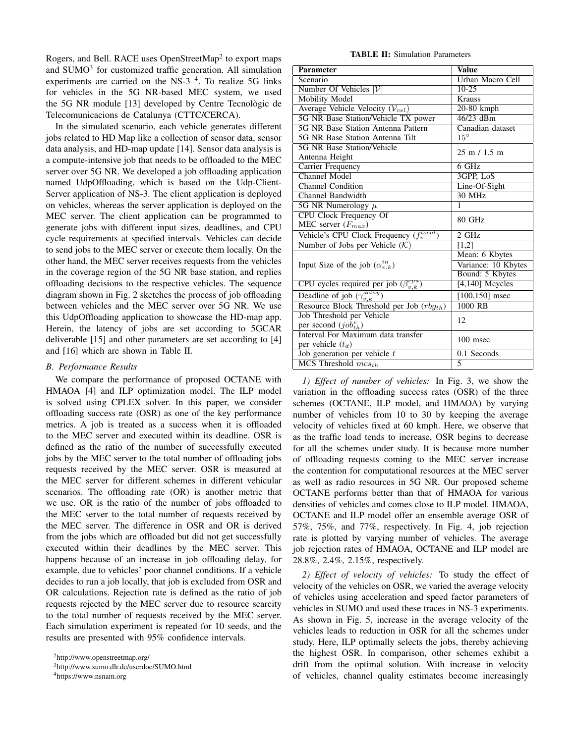Rogers, and Bell. RACE uses OpenStreetMap<sup>2</sup> to export maps and  $SUMO<sup>3</sup>$  for customized traffic generation. All simulation experiments are carried on the NS-3<sup>4</sup>. To realize 5G links for vehicles in the 5G NR-based MEC system, we used the 5G NR module [13] developed by Centre Tecnològic de Telecomunicacions de Catalunya (CTTC/CERCA).

In the simulated scenario, each vehicle generates different jobs related to HD Map like a collection of sensor data, sensor data analysis, and HD-map update [14]. Sensor data analysis is a compute-intensive job that needs to be offloaded to the MEC server over 5G NR. We developed a job offloading application named UdpOffloading, which is based on the Udp-Client-Server application of NS-3. The client application is deployed on vehicles, whereas the server application is deployed on the MEC server. The client application can be programmed to generate jobs with different input sizes, deadlines, and CPU cycle requirements at specified intervals. Vehicles can decide to send jobs to the MEC server or execute them locally. On the other hand, the MEC server receives requests from the vehicles in the coverage region of the 5G NR base station, and replies offloading decisions to the respective vehicles. The sequence diagram shown in Fig. 2 sketches the process of job offloading between vehicles and the MEC server over 5G NR. We use this UdpOffloading application to showcase the HD-map app. Herein, the latency of jobs are set according to 5GCAR deliverable [15] and other parameters are set according to [4] and [16] which are shown in Table II.

#### *B. Performance Results*

We compare the performance of proposed OCTANE with HMAOA [4] and ILP optimization model. The ILP model is solved using CPLEX solver. In this paper, we consider offloading success rate (OSR) as one of the key performance metrics. A job is treated as a success when it is offloaded to the MEC server and executed within its deadline. OSR is defined as the ratio of the number of successfully executed jobs by the MEC server to the total number of offloading jobs requests received by the MEC server. OSR is measured at the MEC server for different schemes in different vehicular scenarios. The offloading rate (OR) is another metric that we use. OR is the ratio of the number of jobs offloaded to the MEC server to the total number of requests received by the MEC server. The difference in OSR and OR is derived from the jobs which are offloaded but did not get successfully executed within their deadlines by the MEC server. This happens because of an increase in job offloading delay, for example, due to vehicles' poor channel conditions. If a vehicle decides to run a job locally, that job is excluded from OSR and OR calculations. Rejection rate is defined as the ratio of job requests rejected by the MEC server due to resource scarcity to the total number of requests received by the MEC server. Each simulation experiment is repeated for 10 seeds, and the results are presented with 95% confidence intervals.

<sup>4</sup>https://www.nsnam.org

TABLE II: Simulation Parameters

| <b>Parameter</b>                                  | Value                          |
|---------------------------------------------------|--------------------------------|
| Scenario                                          | Urban Macro Cell               |
| Number Of Vehicles $ V $                          | $10-25$                        |
| <b>Mobility Model</b>                             | <b>Krauss</b>                  |
| Average Vehicle Velocity $(V_{vel})$              | 20-80 kmph                     |
| 5G NR Base Station/Vehicle TX power               | $46/23$ dBm                    |
| <b>5G NR Base Station Antenna Pattern</b>         | Canadian dataset               |
| 5G NR Base Station Antenna Tilt                   | $15^{\circ}$                   |
| 5G NR Base Station/Vehicle                        | $25 \text{ m} / 1.5 \text{ m}$ |
| Antenna Height                                    |                                |
| <b>Carrier Frequency</b>                          | $6$ GHz                        |
| Channel Model                                     | 3GPP, LoS                      |
| Channel Condition                                 | Line-Of-Sight                  |
| Channel Bandwidth                                 | $30$ MHz                       |
| 5G NR Numerology $\mu$                            | 1                              |
| <b>CPU Clock Frequency Of</b>                     | 80 GHz                         |
| MEC server $(F_{max})$                            |                                |
| Vehicle's CPU Clock Frequency $(f_v^{local})$     | 2 GHz                          |
| Number of Jobs per Vehicle $(K)$                  | [1,2]                          |
|                                                   | Mean: 6 Kbytes                 |
| Input Size of the job $(\alpha_{v,k}^{in})$       | Variance: 10 Kbytes            |
|                                                   | Bound: 5 Kbytes                |
| CPU cycles required per job $(\beta_{v,k}^{cpu})$ | $[4,140]$ Mcycles              |
| Deadline of job $(\gamma_{v,k}^{delay})$          | $[100, 150]$ msec              |
| Resource Block Threshold per Job $(rbg_{th})$     | 1000 RB                        |
| Job Threshold per Vehicle                         | 12                             |
| per second $(job_{th}^v)$                         |                                |
| Interval For Maximum data transfer                | 100 msec                       |
| per vehicle $(t_d)$                               |                                |
| Job generation per vehicle $t$                    | 0.1 Seconds                    |
| $MCS$ Threshold $mcs_{th}$                        | 5                              |

*1) Effect of number of vehicles:* In Fig. 3, we show the variation in the offloading success rates (OSR) of the three schemes (OCTANE, ILP model, and HMAOA) by varying number of vehicles from 10 to 30 by keeping the average velocity of vehicles fixed at 60 kmph. Here, we observe that as the traffic load tends to increase, OSR begins to decrease for all the schemes under study. It is because more number of offloading requests coming to the MEC server increase the contention for computational resources at the MEC server as well as radio resources in 5G NR. Our proposed scheme OCTANE performs better than that of HMAOA for various densities of vehicles and comes close to ILP model. HMAOA, OCTANE and ILP model offer an ensemble average OSR of 57%, 75%, and 77%, respectively. In Fig. 4, job rejection rate is plotted by varying number of vehicles. The average job rejection rates of HMAOA, OCTANE and ILP model are 28.8%, 2.4%, 2.15%, respectively.

*2) Effect of velocity of vehicles:* To study the effect of velocity of the vehicles on OSR, we varied the average velocity of vehicles using acceleration and speed factor parameters of vehicles in SUMO and used these traces in NS-3 experiments. As shown in Fig. 5, increase in the average velocity of the vehicles leads to reduction in OSR for all the schemes under study. Here, ILP optimally selects the jobs, thereby achieving the highest OSR. In comparison, other schemes exhibit a drift from the optimal solution. With increase in velocity of vehicles, channel quality estimates become increasingly

<sup>2</sup>http://www.openstreetmap.org/

<sup>3</sup>http://www.sumo.dlr.de/userdoc/SUMO.html